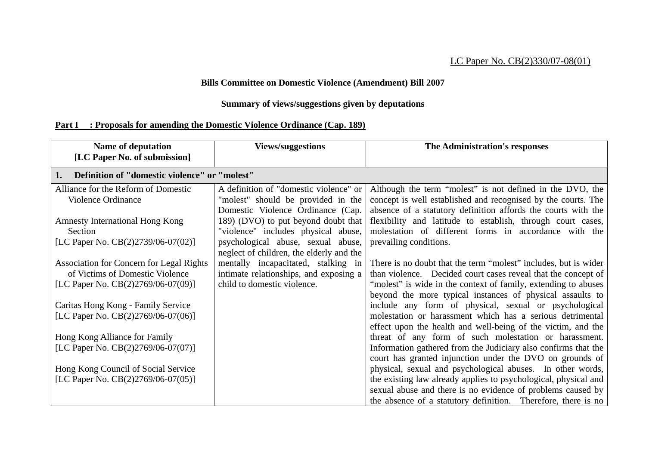## LC Paper No. CB(2)330/07-08(01)

## **Bills Committee on Domestic Violence (Amendment) Bill 2007**

## **Summary of views/suggestions given by deputations**

# **Part I : Proposals for amending the Domestic Violence Ordinance (Cap. 189)**

| <b>Name of deputation</b><br>[LC Paper No. of submission]                          | <b>Views/suggestions</b>                                                                                          | The Administration's responses                                                                                                                                                              |  |  |
|------------------------------------------------------------------------------------|-------------------------------------------------------------------------------------------------------------------|---------------------------------------------------------------------------------------------------------------------------------------------------------------------------------------------|--|--|
| 1.                                                                                 | Definition of "domestic violence" or "molest"                                                                     |                                                                                                                                                                                             |  |  |
| Alliance for the Reform of Domestic<br>Violence Ordinance                          | A definition of "domestic violence" or<br>"molest" should be provided in the<br>Domestic Violence Ordinance (Cap. | Although the term "molest" is not defined in the DVO, the<br>concept is well established and recognised by the courts. The<br>absence of a statutory definition affords the courts with the |  |  |
| <b>Amnesty International Hong Kong</b><br>Section                                  | 189) (DVO) to put beyond doubt that<br>"violence" includes physical abuse,                                        | flexibility and latitude to establish, through court cases,<br>molestation of different forms in accordance with the                                                                        |  |  |
| [LC Paper No. $CB(2)2739/06-07(02)$ ]                                              | psychological abuse, sexual abuse,<br>neglect of children, the elderly and the                                    | prevailing conditions.                                                                                                                                                                      |  |  |
| <b>Association for Concern for Legal Rights</b><br>of Victims of Domestic Violence | mentally incapacitated, stalking in<br>intimate relationships, and exposing a                                     | There is no doubt that the term "molest" includes, but is wider<br>than violence. Decided court cases reveal that the concept of                                                            |  |  |
| [LC Paper No. $CB(2)2769/06-07(09)$ ]                                              | child to domestic violence.                                                                                       | "molest" is wide in the context of family, extending to abuses<br>beyond the more typical instances of physical assaults to                                                                 |  |  |
| Caritas Hong Kong - Family Service<br>[LC Paper No. $CB(2)2769/06-07(06)$ ]        |                                                                                                                   | include any form of physical, sexual or psychological<br>molestation or harassment which has a serious detrimental<br>effect upon the health and well-being of the victim, and the          |  |  |
| Hong Kong Alliance for Family<br>[LC Paper No. $CB(2)2769/06-07(07)]$ ]            |                                                                                                                   | threat of any form of such molestation or harassment.<br>Information gathered from the Judiciary also confirms that the                                                                     |  |  |
| Hong Kong Council of Social Service<br>[LC Paper No. $CB(2)2769/06-07(05)$ ]       |                                                                                                                   | court has granted injunction under the DVO on grounds of<br>physical, sexual and psychological abuses. In other words,<br>the existing law already applies to psychological, physical and   |  |  |
|                                                                                    |                                                                                                                   | sexual abuse and there is no evidence of problems caused by<br>the absence of a statutory definition. Therefore, there is no                                                                |  |  |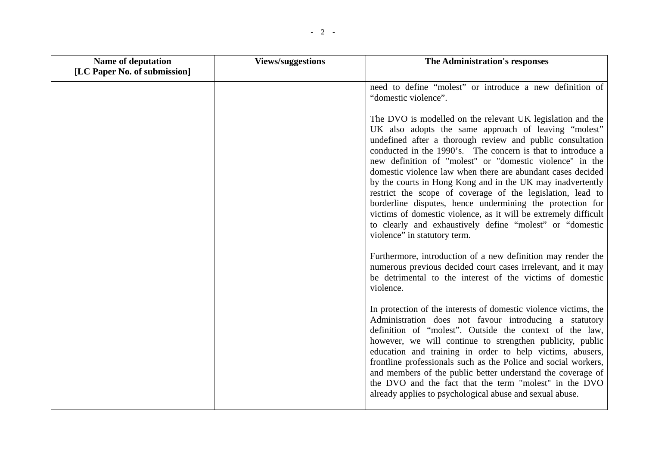| Name of deputation           | <b>Views/suggestions</b> | The Administration's responses                                                                                                                                                                                                                                                                                                                                                                                                                                                                                                                                                                                                                                                                                                    |
|------------------------------|--------------------------|-----------------------------------------------------------------------------------------------------------------------------------------------------------------------------------------------------------------------------------------------------------------------------------------------------------------------------------------------------------------------------------------------------------------------------------------------------------------------------------------------------------------------------------------------------------------------------------------------------------------------------------------------------------------------------------------------------------------------------------|
| [LC Paper No. of submission] |                          |                                                                                                                                                                                                                                                                                                                                                                                                                                                                                                                                                                                                                                                                                                                                   |
|                              |                          | need to define "molest" or introduce a new definition of<br>"domestic violence".                                                                                                                                                                                                                                                                                                                                                                                                                                                                                                                                                                                                                                                  |
|                              |                          | The DVO is modelled on the relevant UK legislation and the<br>UK also adopts the same approach of leaving "molest"<br>undefined after a thorough review and public consultation<br>conducted in the 1990's. The concern is that to introduce a<br>new definition of "molest" or "domestic violence" in the<br>domestic violence law when there are abundant cases decided<br>by the courts in Hong Kong and in the UK may inadvertently<br>restrict the scope of coverage of the legislation, lead to<br>borderline disputes, hence undermining the protection for<br>victims of domestic violence, as it will be extremely difficult<br>to clearly and exhaustively define "molest" or "domestic<br>violence" in statutory term. |
|                              |                          | Furthermore, introduction of a new definition may render the<br>numerous previous decided court cases irrelevant, and it may<br>be detrimental to the interest of the victims of domestic<br>violence.                                                                                                                                                                                                                                                                                                                                                                                                                                                                                                                            |
|                              |                          | In protection of the interests of domestic violence victims, the<br>Administration does not favour introducing a statutory<br>definition of "molest". Outside the context of the law,<br>however, we will continue to strengthen publicity, public<br>education and training in order to help victims, abusers,<br>frontline professionals such as the Police and social workers,<br>and members of the public better understand the coverage of<br>the DVO and the fact that the term "molest" in the DVO<br>already applies to psychological abuse and sexual abuse.                                                                                                                                                            |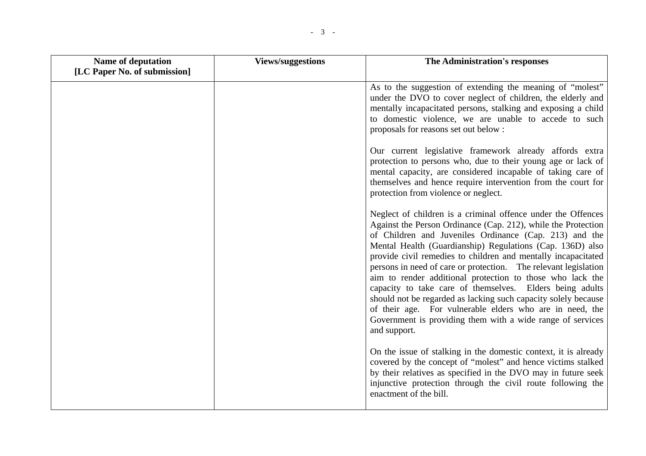| <b>Name of deputation</b>    | <b>Views/suggestions</b> | The Administration's responses                                                                                                                                                                                                                                                                                                                                                                                                                                                                                                                                                                                                                                                                                                |
|------------------------------|--------------------------|-------------------------------------------------------------------------------------------------------------------------------------------------------------------------------------------------------------------------------------------------------------------------------------------------------------------------------------------------------------------------------------------------------------------------------------------------------------------------------------------------------------------------------------------------------------------------------------------------------------------------------------------------------------------------------------------------------------------------------|
| [LC Paper No. of submission] |                          |                                                                                                                                                                                                                                                                                                                                                                                                                                                                                                                                                                                                                                                                                                                               |
|                              |                          | As to the suggestion of extending the meaning of "molest"<br>under the DVO to cover neglect of children, the elderly and<br>mentally incapacitated persons, stalking and exposing a child<br>to domestic violence, we are unable to accede to such<br>proposals for reasons set out below :                                                                                                                                                                                                                                                                                                                                                                                                                                   |
|                              |                          | Our current legislative framework already affords extra<br>protection to persons who, due to their young age or lack of<br>mental capacity, are considered incapable of taking care of<br>themselves and hence require intervention from the court for<br>protection from violence or neglect.                                                                                                                                                                                                                                                                                                                                                                                                                                |
|                              |                          | Neglect of children is a criminal offence under the Offences<br>Against the Person Ordinance (Cap. 212), while the Protection<br>of Children and Juveniles Ordinance (Cap. 213) and the<br>Mental Health (Guardianship) Regulations (Cap. 136D) also<br>provide civil remedies to children and mentally incapacitated<br>persons in need of care or protection. The relevant legislation<br>aim to render additional protection to those who lack the<br>capacity to take care of themselves. Elders being adults<br>should not be regarded as lacking such capacity solely because<br>of their age. For vulnerable elders who are in need, the<br>Government is providing them with a wide range of services<br>and support. |
|                              |                          | On the issue of stalking in the domestic context, it is already<br>covered by the concept of "molest" and hence victims stalked<br>by their relatives as specified in the DVO may in future seek<br>injunctive protection through the civil route following the<br>enactment of the bill.                                                                                                                                                                                                                                                                                                                                                                                                                                     |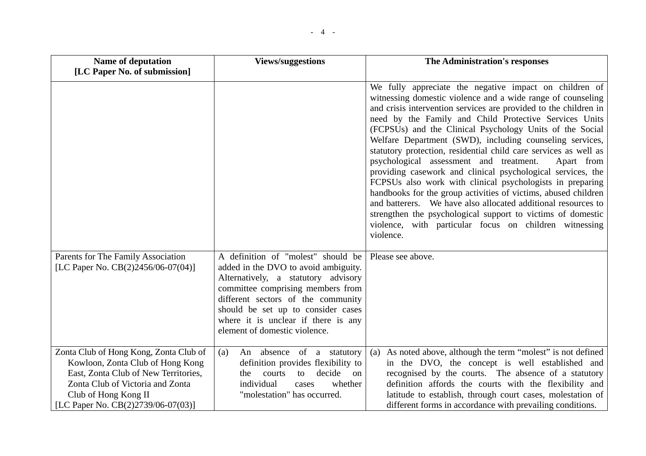| <b>Name of deputation</b>                                                                                                                                                                                               | <b>Views/suggestions</b>                                                                                                                                                                                                                                                                                   | The Administration's responses                                                                                                                                                                                                                                                                                                                                                                                                                                                                                                                                                                                                                                                                                                                                                                                                                                                                                |
|-------------------------------------------------------------------------------------------------------------------------------------------------------------------------------------------------------------------------|------------------------------------------------------------------------------------------------------------------------------------------------------------------------------------------------------------------------------------------------------------------------------------------------------------|---------------------------------------------------------------------------------------------------------------------------------------------------------------------------------------------------------------------------------------------------------------------------------------------------------------------------------------------------------------------------------------------------------------------------------------------------------------------------------------------------------------------------------------------------------------------------------------------------------------------------------------------------------------------------------------------------------------------------------------------------------------------------------------------------------------------------------------------------------------------------------------------------------------|
| [LC Paper No. of submission]                                                                                                                                                                                            |                                                                                                                                                                                                                                                                                                            |                                                                                                                                                                                                                                                                                                                                                                                                                                                                                                                                                                                                                                                                                                                                                                                                                                                                                                               |
|                                                                                                                                                                                                                         |                                                                                                                                                                                                                                                                                                            | We fully appreciate the negative impact on children of<br>witnessing domestic violence and a wide range of counseling<br>and crisis intervention services are provided to the children in<br>need by the Family and Child Protective Services Units<br>(FCPSUs) and the Clinical Psychology Units of the Social<br>Welfare Department (SWD), including counseling services,<br>statutory protection, residential child care services as well as<br>psychological assessment and treatment.<br>Apart from<br>providing casework and clinical psychological services, the<br>FCPSUs also work with clinical psychologists in preparing<br>handbooks for the group activities of victims, abused children<br>and batterers. We have also allocated additional resources to<br>strengthen the psychological support to victims of domestic<br>violence, with particular focus on children witnessing<br>violence. |
| Parents for The Family Association<br>[LC Paper No. CB(2)2456/06-07(04)]                                                                                                                                                | A definition of "molest" should be<br>added in the DVO to avoid ambiguity.<br>Alternatively, a statutory advisory<br>committee comprising members from<br>different sectors of the community<br>should be set up to consider cases<br>where it is unclear if there is any<br>element of domestic violence. | Please see above.                                                                                                                                                                                                                                                                                                                                                                                                                                                                                                                                                                                                                                                                                                                                                                                                                                                                                             |
| Zonta Club of Hong Kong, Zonta Club of<br>Kowloon, Zonta Club of Hong Kong<br>East, Zonta Club of New Territories,<br>Zonta Club of Victoria and Zonta<br>Club of Hong Kong II<br>[LC Paper No. $CB(2)2739/06-07(03)$ ] | An absence of a statutory<br>(a)<br>definition provides flexibility to<br>courts<br>decide<br>to<br>on<br>the<br>individual<br>whether<br>cases<br>"molestation" has occurred.                                                                                                                             | As noted above, although the term "molest" is not defined<br>(a)<br>in the DVO, the concept is well established and<br>recognised by the courts. The absence of a statutory<br>definition affords the courts with the flexibility and<br>latitude to establish, through court cases, molestation of<br>different forms in accordance with prevailing conditions.                                                                                                                                                                                                                                                                                                                                                                                                                                                                                                                                              |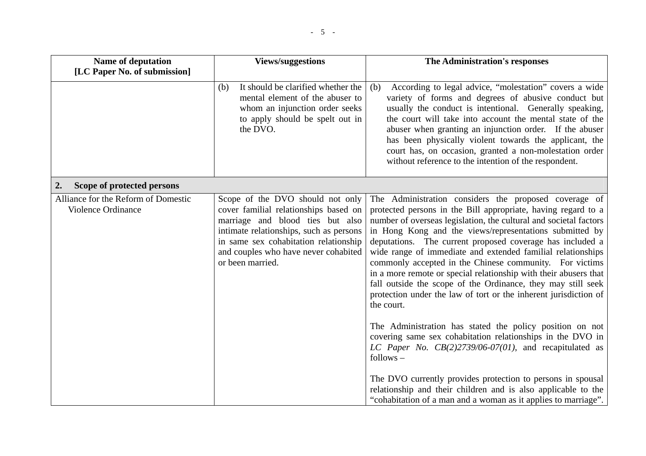| <b>Name of deputation</b>                                 | <b>Views/suggestions</b>                                                                                                                                                                                                                                      | The Administration's responses                                                                                                                                                                                                                                                                                                                                                                                                                                                                                                                                                                                                                                      |
|-----------------------------------------------------------|---------------------------------------------------------------------------------------------------------------------------------------------------------------------------------------------------------------------------------------------------------------|---------------------------------------------------------------------------------------------------------------------------------------------------------------------------------------------------------------------------------------------------------------------------------------------------------------------------------------------------------------------------------------------------------------------------------------------------------------------------------------------------------------------------------------------------------------------------------------------------------------------------------------------------------------------|
| [LC Paper No. of submission]                              |                                                                                                                                                                                                                                                               |                                                                                                                                                                                                                                                                                                                                                                                                                                                                                                                                                                                                                                                                     |
|                                                           | It should be clarified whether the<br>(b)<br>mental element of the abuser to<br>whom an injunction order seeks<br>to apply should be spelt out in<br>the DVO.                                                                                                 | According to legal advice, "molestation" covers a wide<br>(b)<br>variety of forms and degrees of abusive conduct but<br>usually the conduct is intentional. Generally speaking,<br>the court will take into account the mental state of the<br>abuser when granting an injunction order. If the abuser<br>has been physically violent towards the applicant, the<br>court has, on occasion, granted a non-molestation order<br>without reference to the intention of the respondent.                                                                                                                                                                                |
| Scope of protected persons<br>2.                          |                                                                                                                                                                                                                                                               |                                                                                                                                                                                                                                                                                                                                                                                                                                                                                                                                                                                                                                                                     |
| Alliance for the Reform of Domestic<br>Violence Ordinance | Scope of the DVO should not only<br>cover familial relationships based on<br>marriage and blood ties but also<br>intimate relationships, such as persons<br>in same sex cohabitation relationship<br>and couples who have never cohabited<br>or been married. | The Administration considers the proposed coverage of<br>protected persons in the Bill appropriate, having regard to a<br>number of overseas legislation, the cultural and societal factors<br>in Hong Kong and the views/representations submitted by<br>deputations. The current proposed coverage has included a<br>wide range of immediate and extended familial relationships<br>commonly accepted in the Chinese community. For victims<br>in a more remote or special relationship with their abusers that<br>fall outside the scope of the Ordinance, they may still seek<br>protection under the law of tort or the inherent jurisdiction of<br>the court. |
|                                                           |                                                                                                                                                                                                                                                               | The Administration has stated the policy position on not<br>covering same sex cohabitation relationships in the DVO in<br>LC Paper No. $CB(2)2739/06-07(01)$ , and recapitulated as<br>$follows -$                                                                                                                                                                                                                                                                                                                                                                                                                                                                  |
|                                                           |                                                                                                                                                                                                                                                               | The DVO currently provides protection to persons in spousal<br>relationship and their children and is also applicable to the<br>"cohabitation of a man and a woman as it applies to marriage".                                                                                                                                                                                                                                                                                                                                                                                                                                                                      |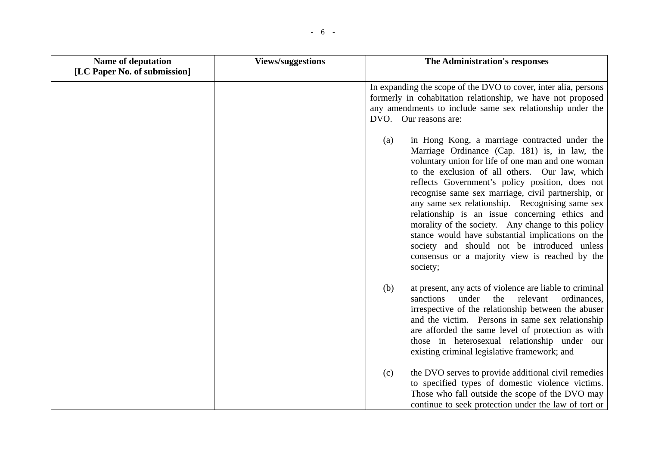| Name of deputation           | <b>Views/suggestions</b> | The Administration's responses                                                                                                                                                                                                                                                                                                                                                                                                                                                                                                                                                                                                                     |
|------------------------------|--------------------------|----------------------------------------------------------------------------------------------------------------------------------------------------------------------------------------------------------------------------------------------------------------------------------------------------------------------------------------------------------------------------------------------------------------------------------------------------------------------------------------------------------------------------------------------------------------------------------------------------------------------------------------------------|
| [LC Paper No. of submission] |                          |                                                                                                                                                                                                                                                                                                                                                                                                                                                                                                                                                                                                                                                    |
|                              |                          | In expanding the scope of the DVO to cover, inter alia, persons<br>formerly in cohabitation relationship, we have not proposed<br>any amendments to include same sex relationship under the<br>DVO. Our reasons are:                                                                                                                                                                                                                                                                                                                                                                                                                               |
|                              |                          | in Hong Kong, a marriage contracted under the<br>(a)<br>Marriage Ordinance (Cap. 181) is, in law, the<br>voluntary union for life of one man and one woman<br>to the exclusion of all others. Our law, which<br>reflects Government's policy position, does not<br>recognise same sex marriage, civil partnership, or<br>any same sex relationship. Recognising same sex<br>relationship is an issue concerning ethics and<br>morality of the society. Any change to this policy<br>stance would have substantial implications on the<br>society and should not be introduced unless<br>consensus or a majority view is reached by the<br>society; |
|                              |                          | at present, any acts of violence are liable to criminal<br>(b)<br>under<br>the<br>relevant<br>sanctions<br>ordinances,<br>irrespective of the relationship between the abuser<br>and the victim. Persons in same sex relationship<br>are afforded the same level of protection as with<br>those in heterosexual relationship under our<br>existing criminal legislative framework; and                                                                                                                                                                                                                                                             |
|                              |                          | the DVO serves to provide additional civil remedies<br>(c)<br>to specified types of domestic violence victims.<br>Those who fall outside the scope of the DVO may<br>continue to seek protection under the law of tort or                                                                                                                                                                                                                                                                                                                                                                                                                          |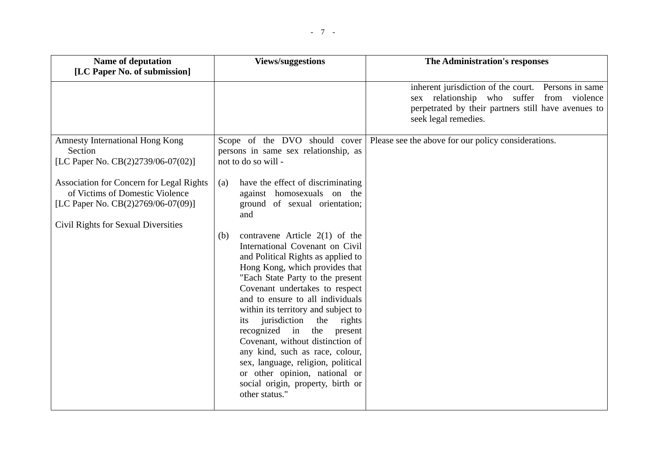| <b>Name of deputation</b>                                                                                                                                | <b>Views/suggestions</b>                                                                                                                                                                                                                                                                                                                                                                                                                                                                            | The Administration's responses                                                                                                                                                  |
|----------------------------------------------------------------------------------------------------------------------------------------------------------|-----------------------------------------------------------------------------------------------------------------------------------------------------------------------------------------------------------------------------------------------------------------------------------------------------------------------------------------------------------------------------------------------------------------------------------------------------------------------------------------------------|---------------------------------------------------------------------------------------------------------------------------------------------------------------------------------|
| [LC Paper No. of submission]                                                                                                                             |                                                                                                                                                                                                                                                                                                                                                                                                                                                                                                     |                                                                                                                                                                                 |
|                                                                                                                                                          |                                                                                                                                                                                                                                                                                                                                                                                                                                                                                                     | inherent jurisdiction of the court. Persons in same<br>sex relationship who suffer from violence<br>perpetrated by their partners still have avenues to<br>seek legal remedies. |
| <b>Amnesty International Hong Kong</b><br>Section<br>[LC Paper No. CB(2)2739/06-07(02)]                                                                  | Scope of the DVO should cover<br>persons in same sex relationship, as<br>not to do so will -                                                                                                                                                                                                                                                                                                                                                                                                        | Please see the above for our policy considerations.                                                                                                                             |
| Association for Concern for Legal Rights<br>of Victims of Domestic Violence<br>[LC Paper No. CB(2)2769/06-07(09)]<br>Civil Rights for Sexual Diversities | have the effect of discriminating<br>(a)<br>against homosexuals on the<br>ground of sexual orientation;<br>and<br>contravene Article $2(1)$ of the<br>(b)<br>International Covenant on Civil<br>and Political Rights as applied to<br>Hong Kong, which provides that<br>"Each State Party to the present<br>Covenant undertakes to respect<br>and to ensure to all individuals<br>within its territory and subject to<br>jurisdiction<br>the<br>rights<br>its<br>recognized<br>in<br>the<br>present |                                                                                                                                                                                 |
|                                                                                                                                                          | Covenant, without distinction of<br>any kind, such as race, colour,<br>sex, language, religion, political<br>or other opinion, national or<br>social origin, property, birth or<br>other status."                                                                                                                                                                                                                                                                                                   |                                                                                                                                                                                 |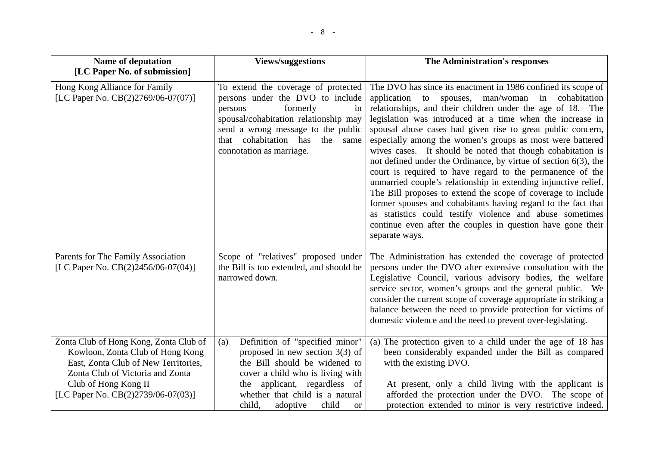| <b>Name of deputation</b>                                                                                                                                                                                            | <b>Views/suggestions</b>                                                                                                                                                                                                                                           | The Administration's responses                                                                                                                                                                                                                                                                                                                                                                                                                                                                                                                                                                                                                                                                                                                                                                                                                                                                                               |
|----------------------------------------------------------------------------------------------------------------------------------------------------------------------------------------------------------------------|--------------------------------------------------------------------------------------------------------------------------------------------------------------------------------------------------------------------------------------------------------------------|------------------------------------------------------------------------------------------------------------------------------------------------------------------------------------------------------------------------------------------------------------------------------------------------------------------------------------------------------------------------------------------------------------------------------------------------------------------------------------------------------------------------------------------------------------------------------------------------------------------------------------------------------------------------------------------------------------------------------------------------------------------------------------------------------------------------------------------------------------------------------------------------------------------------------|
| [LC Paper No. of submission]                                                                                                                                                                                         |                                                                                                                                                                                                                                                                    |                                                                                                                                                                                                                                                                                                                                                                                                                                                                                                                                                                                                                                                                                                                                                                                                                                                                                                                              |
| Hong Kong Alliance for Family<br>[LC Paper No. $CB(2)2769/06-07(07)$ ]                                                                                                                                               | To extend the coverage of protected<br>persons under the DVO to include<br>formerly<br>persons<br>in<br>spousal/cohabitation relationship may<br>send a wrong message to the public<br>that cohabitation has<br>the<br>same<br>connotation as marriage.            | The DVO has since its enactment in 1986 confined its scope of<br>application to spouses, man/woman in cohabitation<br>relationships, and their children under the age of 18. The<br>legislation was introduced at a time when the increase in<br>spousal abuse cases had given rise to great public concern,<br>especially among the women's groups as most were battered<br>wives cases. It should be noted that though cohabitation is<br>not defined under the Ordinance, by virtue of section $6(3)$ , the<br>court is required to have regard to the permanence of the<br>unmarried couple's relationship in extending injunctive relief.<br>The Bill proposes to extend the scope of coverage to include<br>former spouses and cohabitants having regard to the fact that<br>as statistics could testify violence and abuse sometimes<br>continue even after the couples in question have gone their<br>separate ways. |
| Parents for The Family Association<br>[LC Paper No. CB(2)2456/06-07(04)]                                                                                                                                             | Scope of "relatives" proposed under<br>the Bill is too extended, and should be<br>narrowed down.                                                                                                                                                                   | The Administration has extended the coverage of protected<br>persons under the DVO after extensive consultation with the<br>Legislative Council, various advisory bodies, the welfare<br>service sector, women's groups and the general public. We<br>consider the current scope of coverage appropriate in striking a<br>balance between the need to provide protection for victims of<br>domestic violence and the need to prevent over-legislating.                                                                                                                                                                                                                                                                                                                                                                                                                                                                       |
| Zonta Club of Hong Kong, Zonta Club of<br>Kowloon, Zonta Club of Hong Kong<br>East, Zonta Club of New Territories,<br>Zonta Club of Victoria and Zonta<br>Club of Hong Kong II<br>[LC Paper No. CB(2)2739/06-07(03)] | Definition of "specified minor"<br>(a)<br>proposed in new section $3(3)$ of<br>the Bill should be widened to<br>cover a child who is living with<br>applicant, regardless of<br>the<br>whether that child is a natural<br>child,<br>child<br>adoptive<br><b>or</b> | (a) The protection given to a child under the age of 18 has<br>been considerably expanded under the Bill as compared<br>with the existing DVO.<br>At present, only a child living with the applicant is<br>afforded the protection under the DVO. The scope of<br>protection extended to minor is very restrictive indeed.                                                                                                                                                                                                                                                                                                                                                                                                                                                                                                                                                                                                   |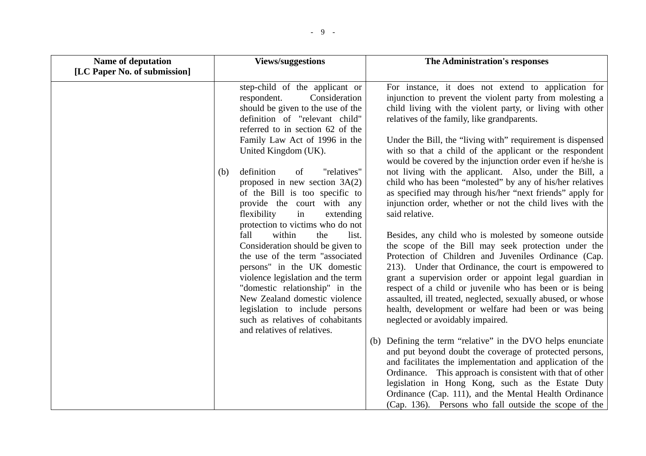| <b>Name of deputation</b>    | <b>Views/suggestions</b>                                                                                                                                                                                                                                                                                                                                                                                                                                        | The Administration's responses                                                                                                                                                                                                                                                                                                                                                                                                                                                                                                                                                                                                                                                                                                                      |
|------------------------------|-----------------------------------------------------------------------------------------------------------------------------------------------------------------------------------------------------------------------------------------------------------------------------------------------------------------------------------------------------------------------------------------------------------------------------------------------------------------|-----------------------------------------------------------------------------------------------------------------------------------------------------------------------------------------------------------------------------------------------------------------------------------------------------------------------------------------------------------------------------------------------------------------------------------------------------------------------------------------------------------------------------------------------------------------------------------------------------------------------------------------------------------------------------------------------------------------------------------------------------|
| [LC Paper No. of submission] |                                                                                                                                                                                                                                                                                                                                                                                                                                                                 |                                                                                                                                                                                                                                                                                                                                                                                                                                                                                                                                                                                                                                                                                                                                                     |
|                              | step-child of the applicant or<br>respondent.<br>Consideration<br>should be given to the use of the<br>definition of "relevant child"<br>referred to in section 62 of the<br>Family Law Act of 1996 in the<br>United Kingdom (UK).                                                                                                                                                                                                                              | For instance, it does not extend to application for<br>injunction to prevent the violent party from molesting a<br>child living with the violent party, or living with other<br>relatives of the family, like grandparents.<br>Under the Bill, the "living with" requirement is dispensed<br>with so that a child of the applicant or the respondent                                                                                                                                                                                                                                                                                                                                                                                                |
|                              | definition<br>"relatives"<br>of<br>(b)<br>proposed in new section $3A(2)$<br>of the Bill is too specific to<br>provide the court with any<br>flexibility<br>in<br>extending<br>protection to victims who do not<br>within<br>fall<br>list.<br>the<br>Consideration should be given to<br>the use of the term "associated<br>persons" in the UK domestic<br>violence legislation and the term<br>"domestic relationship" in the<br>New Zealand domestic violence | would be covered by the injunction order even if he/she is<br>not living with the applicant. Also, under the Bill, a<br>child who has been "molested" by any of his/her relatives<br>as specified may through his/her "next friends" apply for<br>injunction order, whether or not the child lives with the<br>said relative.<br>Besides, any child who is molested by someone outside<br>the scope of the Bill may seek protection under the<br>Protection of Children and Juveniles Ordinance (Cap.<br>213). Under that Ordinance, the court is empowered to<br>grant a supervision order or appoint legal guardian in<br>respect of a child or juvenile who has been or is being<br>assaulted, ill treated, neglected, sexually abused, or whose |
|                              | legislation to include persons<br>such as relatives of cohabitants<br>and relatives of relatives.                                                                                                                                                                                                                                                                                                                                                               | health, development or welfare had been or was being<br>neglected or avoidably impaired.<br>(b) Defining the term "relative" in the DVO helps enunciate<br>and put beyond doubt the coverage of protected persons,<br>and facilitates the implementation and application of the<br>Ordinance. This approach is consistent with that of other<br>legislation in Hong Kong, such as the Estate Duty<br>Ordinance (Cap. 111), and the Mental Health Ordinance<br>(Cap. 136). Persons who fall outside the scope of the                                                                                                                                                                                                                                 |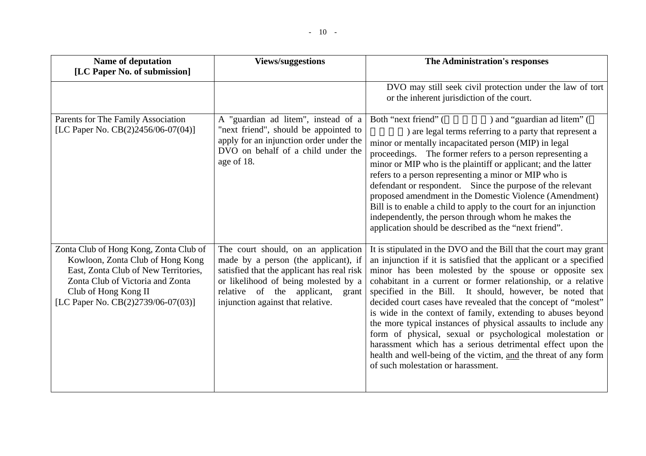| Name of deputation<br>[LC Paper No. of submission]                                                                                                                                                                   | <b>Views/suggestions</b>                                                                                                                                                                                                                      | The Administration's responses                                                                                                                                                                                                                                                                                                                                                                                                                                                                                                                                                                                                                                                                                                                                       |
|----------------------------------------------------------------------------------------------------------------------------------------------------------------------------------------------------------------------|-----------------------------------------------------------------------------------------------------------------------------------------------------------------------------------------------------------------------------------------------|----------------------------------------------------------------------------------------------------------------------------------------------------------------------------------------------------------------------------------------------------------------------------------------------------------------------------------------------------------------------------------------------------------------------------------------------------------------------------------------------------------------------------------------------------------------------------------------------------------------------------------------------------------------------------------------------------------------------------------------------------------------------|
|                                                                                                                                                                                                                      |                                                                                                                                                                                                                                               | DVO may still seek civil protection under the law of tort<br>or the inherent jurisdiction of the court.                                                                                                                                                                                                                                                                                                                                                                                                                                                                                                                                                                                                                                                              |
| Parents for The Family Association<br>[LC Paper No. CB(2)2456/06-07(04)]                                                                                                                                             | A "guardian ad litem", instead of a<br>"next friend", should be appointed to<br>apply for an injunction order under the<br>DVO on behalf of a child under the<br>age of 18.                                                                   | ) and "guardian ad litem" (<br>Both "next friend" (<br>) are legal terms referring to a party that represent a<br>minor or mentally incapacitated person (MIP) in legal<br>proceedings. The former refers to a person representing a<br>minor or MIP who is the plaintiff or applicant; and the latter<br>refers to a person representing a minor or MIP who is<br>defendant or respondent. Since the purpose of the relevant<br>proposed amendment in the Domestic Violence (Amendment)<br>Bill is to enable a child to apply to the court for an injunction<br>independently, the person through whom he makes the<br>application should be described as the "next friend".                                                                                        |
| Zonta Club of Hong Kong, Zonta Club of<br>Kowloon, Zonta Club of Hong Kong<br>East, Zonta Club of New Territories,<br>Zonta Club of Victoria and Zonta<br>Club of Hong Kong II<br>[LC Paper No. CB(2)2739/06-07(03)] | The court should, on an application<br>made by a person (the applicant), if<br>satisfied that the applicant has real risk<br>or likelihood of being molested by a<br>relative of the applicant,<br>grant<br>injunction against that relative. | It is stipulated in the DVO and the Bill that the court may grant<br>an injunction if it is satisfied that the applicant or a specified<br>minor has been molested by the spouse or opposite sex<br>cohabitant in a current or former relationship, or a relative<br>specified in the Bill. It should, however, be noted that<br>decided court cases have revealed that the concept of "molest"<br>is wide in the context of family, extending to abuses beyond<br>the more typical instances of physical assaults to include any<br>form of physical, sexual or psychological molestation or<br>harassment which has a serious detrimental effect upon the<br>health and well-being of the victim, and the threat of any form<br>of such molestation or harassment. |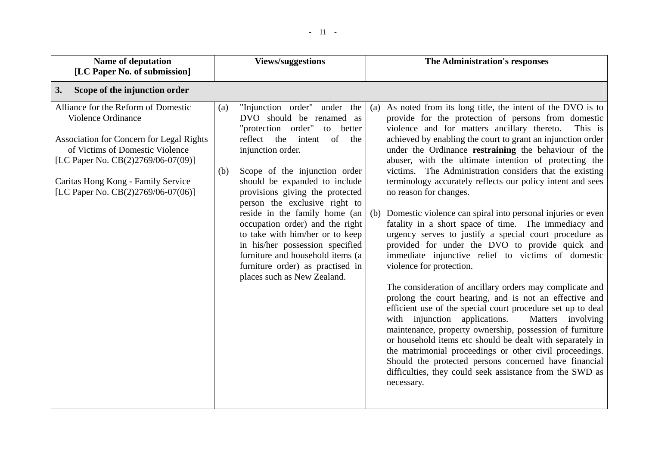| <b>Name of deputation</b><br>[LC Paper No. of submission]                                                                                                                                                                                                         | <b>Views/suggestions</b>                                                                                                                                                                                                                                                                                                                                                                                                                                                                                                                                       | The Administration's responses                                                                                                                                                                                                                                                                                                                                                                                                                                                                                                                                                                                                                                                                                                                                                                                                                                                                                                                                                                                                                                                                                                                                                                                                                                                                                                                                                                                      |
|-------------------------------------------------------------------------------------------------------------------------------------------------------------------------------------------------------------------------------------------------------------------|----------------------------------------------------------------------------------------------------------------------------------------------------------------------------------------------------------------------------------------------------------------------------------------------------------------------------------------------------------------------------------------------------------------------------------------------------------------------------------------------------------------------------------------------------------------|---------------------------------------------------------------------------------------------------------------------------------------------------------------------------------------------------------------------------------------------------------------------------------------------------------------------------------------------------------------------------------------------------------------------------------------------------------------------------------------------------------------------------------------------------------------------------------------------------------------------------------------------------------------------------------------------------------------------------------------------------------------------------------------------------------------------------------------------------------------------------------------------------------------------------------------------------------------------------------------------------------------------------------------------------------------------------------------------------------------------------------------------------------------------------------------------------------------------------------------------------------------------------------------------------------------------------------------------------------------------------------------------------------------------|
| Scope of the injunction order<br>3.                                                                                                                                                                                                                               |                                                                                                                                                                                                                                                                                                                                                                                                                                                                                                                                                                |                                                                                                                                                                                                                                                                                                                                                                                                                                                                                                                                                                                                                                                                                                                                                                                                                                                                                                                                                                                                                                                                                                                                                                                                                                                                                                                                                                                                                     |
| Alliance for the Reform of Domestic<br>Violence Ordinance<br><b>Association for Concern for Legal Rights</b><br>of Victims of Domestic Violence<br>[LC Paper No. CB(2)2769/06-07(09)]<br>Caritas Hong Kong - Family Service<br>[LC Paper No. CB(2)2769/06-07(06)] | "Injunction order"<br>under the<br>(a)<br>DVO should be renamed as<br>"protection order"<br>to better<br>reflect the<br>intent<br>of<br>the<br>injunction order.<br>Scope of the injunction order<br>(b)<br>should be expanded to include<br>provisions giving the protected<br>person the exclusive right to<br>reside in the family home (an<br>occupation order) and the right<br>to take with him/her or to keep<br>in his/her possession specified<br>furniture and household items (a<br>furniture order) as practised in<br>places such as New Zealand. | As noted from its long title, the intent of the DVO is to<br>(a)<br>provide for the protection of persons from domestic<br>violence and for matters ancillary thereto.<br>This is<br>achieved by enabling the court to grant an injunction order<br>under the Ordinance restraining the behaviour of the<br>abuser, with the ultimate intention of protecting the<br>victims. The Administration considers that the existing<br>terminology accurately reflects our policy intent and sees<br>no reason for changes.<br>Domestic violence can spiral into personal injuries or even<br>(b)<br>fatality in a short space of time. The immediacy and<br>urgency serves to justify a special court procedure as<br>provided for under the DVO to provide quick and<br>immediate injunctive relief to victims of domestic<br>violence for protection.<br>The consideration of ancillary orders may complicate and<br>prolong the court hearing, and is not an effective and<br>efficient use of the special court procedure set up to deal<br>with injunction applications.<br>Matters involving<br>maintenance, property ownership, possession of furniture<br>or household items etc should be dealt with separately in<br>the matrimonial proceedings or other civil proceedings.<br>Should the protected persons concerned have financial<br>difficulties, they could seek assistance from the SWD as<br>necessary. |
|                                                                                                                                                                                                                                                                   |                                                                                                                                                                                                                                                                                                                                                                                                                                                                                                                                                                |                                                                                                                                                                                                                                                                                                                                                                                                                                                                                                                                                                                                                                                                                                                                                                                                                                                                                                                                                                                                                                                                                                                                                                                                                                                                                                                                                                                                                     |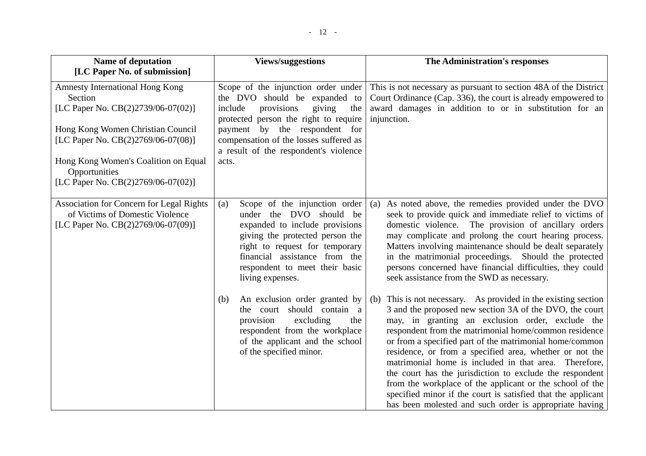| <b>Name of deputation</b>                                                                                                | <b>Views/suggestions</b>                                                                                                                                                                                                                                      | The Administration's responses                                                                                                                                                                                                                                                                                                                                                                                                                                                                                                                                                                                                                                          |
|--------------------------------------------------------------------------------------------------------------------------|---------------------------------------------------------------------------------------------------------------------------------------------------------------------------------------------------------------------------------------------------------------|-------------------------------------------------------------------------------------------------------------------------------------------------------------------------------------------------------------------------------------------------------------------------------------------------------------------------------------------------------------------------------------------------------------------------------------------------------------------------------------------------------------------------------------------------------------------------------------------------------------------------------------------------------------------------|
| [LC Paper No. of submission]                                                                                             |                                                                                                                                                                                                                                                               |                                                                                                                                                                                                                                                                                                                                                                                                                                                                                                                                                                                                                                                                         |
| <b>Amnesty International Hong Kong</b><br>Section<br>[LC Paper No. CB(2)2739/06-07(02)]                                  | Scope of the injunction order under<br>the DVO should be expanded to<br>include<br>provisions<br>giving<br>the<br>protected person the right to require                                                                                                       | This is not necessary as pursuant to section 48A of the District<br>Court Ordinance (Cap. 336), the court is already empowered to<br>award damages in addition to or in substitution for an<br>injunction.                                                                                                                                                                                                                                                                                                                                                                                                                                                              |
| Hong Kong Women Christian Council<br>[LC Paper No. CB(2)2769/06-07(08)]                                                  | payment by the respondent for<br>compensation of the losses suffered as<br>a result of the respondent's violence                                                                                                                                              |                                                                                                                                                                                                                                                                                                                                                                                                                                                                                                                                                                                                                                                                         |
| Hong Kong Women's Coalition on Equal<br>Opportunities<br>[LC Paper No. $CB(2)2769/06-07(02)$ ]                           | acts.                                                                                                                                                                                                                                                         |                                                                                                                                                                                                                                                                                                                                                                                                                                                                                                                                                                                                                                                                         |
| <b>Association for Concern for Legal Rights</b><br>of Victims of Domestic Violence<br>[LC Paper No. CB(2)2769/06-07(09)] | Scope of the injunction order<br>(a)<br>under the DVO should be<br>expanded to include provisions<br>giving the protected person the<br>right to request for temporary<br>financial assistance from the<br>respondent to meet their basic<br>living expenses. | As noted above, the remedies provided under the DVO<br>(a)<br>seek to provide quick and immediate relief to victims of<br>domestic violence. The provision of ancillary orders<br>may complicate and prolong the court hearing process.<br>Matters involving maintenance should be dealt separately<br>in the matrimonial proceedings. Should the protected<br>persons concerned have financial difficulties, they could<br>seek assistance from the SWD as necessary.                                                                                                                                                                                                  |
|                                                                                                                          | An exclusion order granted by<br>(b)<br>the court should contain a<br>provision<br>excluding<br>the<br>respondent from the workplace<br>of the applicant and the school<br>of the specified minor.                                                            | (b) This is not necessary. As provided in the existing section<br>3 and the proposed new section 3A of the DVO, the court<br>may, in granting an exclusion order, exclude the<br>respondent from the matrimonial home/common residence<br>or from a specified part of the matrimonial home/common<br>residence, or from a specified area, whether or not the<br>matrimonial home is included in that area. Therefore,<br>the court has the jurisdiction to exclude the respondent<br>from the workplace of the applicant or the school of the<br>specified minor if the court is satisfied that the applicant<br>has been molested and such order is appropriate having |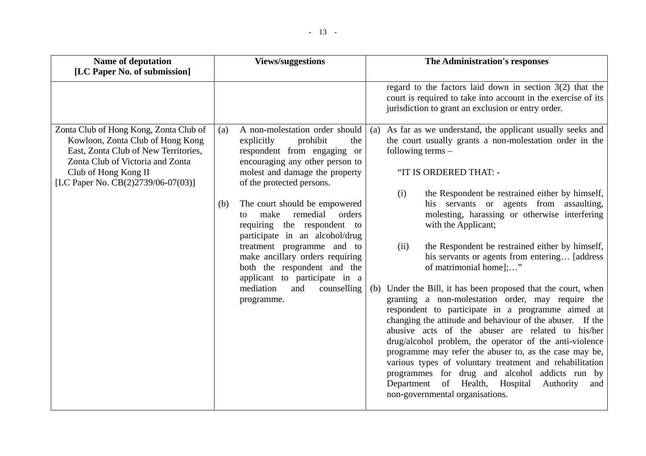| <b>Name of deputation</b>                                                                                                                                                                                            | <b>Views/suggestions</b>                                                                                                                                                                                                                                                                                                                                                                                                                                                                                                               | The Administration's responses                                                                                                                                                                                                                                                                                                                                                                                                                                                                                                                                                                                                                                                                                                                                                                                                                                                                                                                                                                                                                                                                                             |
|----------------------------------------------------------------------------------------------------------------------------------------------------------------------------------------------------------------------|----------------------------------------------------------------------------------------------------------------------------------------------------------------------------------------------------------------------------------------------------------------------------------------------------------------------------------------------------------------------------------------------------------------------------------------------------------------------------------------------------------------------------------------|----------------------------------------------------------------------------------------------------------------------------------------------------------------------------------------------------------------------------------------------------------------------------------------------------------------------------------------------------------------------------------------------------------------------------------------------------------------------------------------------------------------------------------------------------------------------------------------------------------------------------------------------------------------------------------------------------------------------------------------------------------------------------------------------------------------------------------------------------------------------------------------------------------------------------------------------------------------------------------------------------------------------------------------------------------------------------------------------------------------------------|
| [LC Paper No. of submission]                                                                                                                                                                                         |                                                                                                                                                                                                                                                                                                                                                                                                                                                                                                                                        |                                                                                                                                                                                                                                                                                                                                                                                                                                                                                                                                                                                                                                                                                                                                                                                                                                                                                                                                                                                                                                                                                                                            |
|                                                                                                                                                                                                                      |                                                                                                                                                                                                                                                                                                                                                                                                                                                                                                                                        | regard to the factors laid down in section $3(2)$ that the<br>court is required to take into account in the exercise of its<br>jurisdiction to grant an exclusion or entry order.                                                                                                                                                                                                                                                                                                                                                                                                                                                                                                                                                                                                                                                                                                                                                                                                                                                                                                                                          |
| Zonta Club of Hong Kong, Zonta Club of<br>Kowloon, Zonta Club of Hong Kong<br>East, Zonta Club of New Territories,<br>Zonta Club of Victoria and Zonta<br>Club of Hong Kong II<br>[LC Paper No. CB(2)2739/06-07(03)] | A non-molestation order should<br>(a)<br>prohibit<br>explicitly<br>the<br>respondent from engaging or<br>encouraging any other person to<br>molest and damage the property<br>of the protected persons.<br>The court should be empowered<br>(b)<br>make<br>remedial<br>orders<br>to<br>requiring the respondent to<br>participate in an alcohol/drug<br>treatment programme and to<br>make ancillary orders requiring<br>both the respondent and the<br>applicant to participate in a<br>mediation<br>and<br>counselling<br>programme. | As far as we understand, the applicant usually seeks and<br>(a)<br>the court usually grants a non-molestation order in the<br>following terms $-$<br>"IT IS ORDERED THAT: -<br>the Respondent be restrained either by himself,<br>(i)<br>his servants or agents from assaulting,<br>molesting, harassing or otherwise interfering<br>with the Applicant;<br>the Respondent be restrained either by himself,<br>(ii)<br>his servants or agents from entering [address]<br>of matrimonial home];"<br>Under the Bill, it has been proposed that the court, when<br>(b)<br>granting a non-molestation order, may require the<br>respondent to participate in a programme aimed at<br>changing the attitude and behaviour of the abuser. If the<br>abusive acts of the abuser are related to his/her<br>drug/alcohol problem, the operator of the anti-violence<br>programme may refer the abuser to, as the case may be,<br>various types of voluntary treatment and rehabilitation<br>programmes for drug and alcohol addicts run by<br>Department of Health, Hospital<br>Authority<br>and<br>non-governmental organisations. |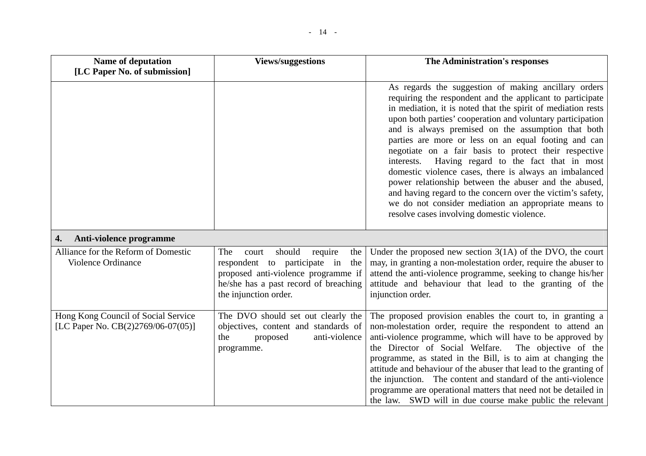| <b>Name of deputation</b>                                                    | <b>Views/suggestions</b>                                                                                                                                                                 | The Administration's responses                                                                                                                                                                                                                                                                                                                                                                                                                                                                                                                                                                                                                                                                                                                                        |
|------------------------------------------------------------------------------|------------------------------------------------------------------------------------------------------------------------------------------------------------------------------------------|-----------------------------------------------------------------------------------------------------------------------------------------------------------------------------------------------------------------------------------------------------------------------------------------------------------------------------------------------------------------------------------------------------------------------------------------------------------------------------------------------------------------------------------------------------------------------------------------------------------------------------------------------------------------------------------------------------------------------------------------------------------------------|
| [LC Paper No. of submission]                                                 |                                                                                                                                                                                          |                                                                                                                                                                                                                                                                                                                                                                                                                                                                                                                                                                                                                                                                                                                                                                       |
|                                                                              |                                                                                                                                                                                          | As regards the suggestion of making ancillary orders<br>requiring the respondent and the applicant to participate<br>in mediation, it is noted that the spirit of mediation rests<br>upon both parties' cooperation and voluntary participation<br>and is always premised on the assumption that both<br>parties are more or less on an equal footing and can<br>negotiate on a fair basis to protect their respective<br>Having regard to the fact that in most<br>interests.<br>domestic violence cases, there is always an imbalanced<br>power relationship between the abuser and the abused,<br>and having regard to the concern over the victim's safety,<br>we do not consider mediation an appropriate means to<br>resolve cases involving domestic violence. |
| Anti-violence programme<br>4.                                                |                                                                                                                                                                                          |                                                                                                                                                                                                                                                                                                                                                                                                                                                                                                                                                                                                                                                                                                                                                                       |
| Alliance for the Reform of Domestic<br>Violence Ordinance                    | should<br>require<br>The<br>the<br>court<br>respondent to participate in<br>the<br>proposed anti-violence programme if<br>he/she has a past record of breaching<br>the injunction order. | Under the proposed new section $3(1A)$ of the DVO, the court<br>may, in granting a non-molestation order, require the abuser to<br>attend the anti-violence programme, seeking to change his/her<br>attitude and behaviour that lead to the granting of the<br>injunction order.                                                                                                                                                                                                                                                                                                                                                                                                                                                                                      |
| Hong Kong Council of Social Service<br>[LC Paper No. $CB(2)2769/06-07(05)$ ] | The DVO should set out clearly the<br>objectives, content and standards of<br>proposed<br>anti-violence<br>the<br>programme.                                                             | The proposed provision enables the court to, in granting a<br>non-molestation order, require the respondent to attend an<br>anti-violence programme, which will have to be approved by<br>the Director of Social Welfare.<br>The objective of the<br>programme, as stated in the Bill, is to aim at changing the<br>attitude and behaviour of the abuser that lead to the granting of<br>the injunction. The content and standard of the anti-violence<br>programme are operational matters that need not be detailed in<br>the law. SWD will in due course make public the relevant                                                                                                                                                                                  |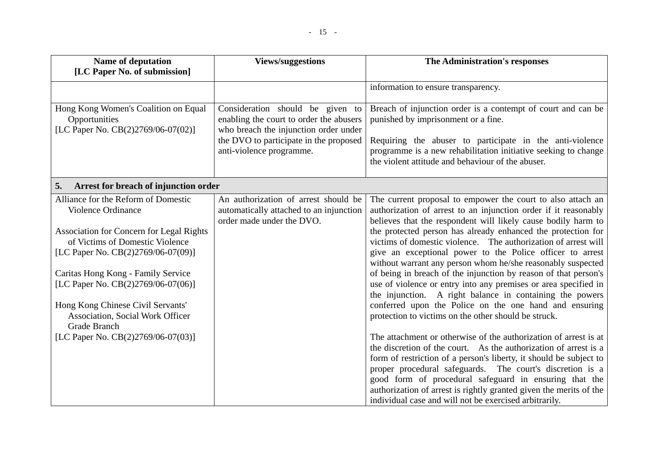| Name of deputation                                                                                                                                                                                                                                                                                                                                                                                      | <b>Views/suggestions</b>                                                                                                                                                                   | The Administration's responses                                                                                                                                                                                                                                                                                                                                                                                                                                                                                                                                                                                                                                                                                                                                                                                                                                                                                                                                                                                                                                                                                                                                                                                                                         |
|---------------------------------------------------------------------------------------------------------------------------------------------------------------------------------------------------------------------------------------------------------------------------------------------------------------------------------------------------------------------------------------------------------|--------------------------------------------------------------------------------------------------------------------------------------------------------------------------------------------|--------------------------------------------------------------------------------------------------------------------------------------------------------------------------------------------------------------------------------------------------------------------------------------------------------------------------------------------------------------------------------------------------------------------------------------------------------------------------------------------------------------------------------------------------------------------------------------------------------------------------------------------------------------------------------------------------------------------------------------------------------------------------------------------------------------------------------------------------------------------------------------------------------------------------------------------------------------------------------------------------------------------------------------------------------------------------------------------------------------------------------------------------------------------------------------------------------------------------------------------------------|
| [LC Paper No. of submission]                                                                                                                                                                                                                                                                                                                                                                            |                                                                                                                                                                                            |                                                                                                                                                                                                                                                                                                                                                                                                                                                                                                                                                                                                                                                                                                                                                                                                                                                                                                                                                                                                                                                                                                                                                                                                                                                        |
|                                                                                                                                                                                                                                                                                                                                                                                                         |                                                                                                                                                                                            | information to ensure transparency.                                                                                                                                                                                                                                                                                                                                                                                                                                                                                                                                                                                                                                                                                                                                                                                                                                                                                                                                                                                                                                                                                                                                                                                                                    |
| Hong Kong Women's Coalition on Equal<br>Opportunities<br>[LC Paper No. CB(2)2769/06-07(02)]                                                                                                                                                                                                                                                                                                             | Consideration should be given to<br>enabling the court to order the abusers<br>who breach the injunction order under<br>the DVO to participate in the proposed<br>anti-violence programme. | Breach of injunction order is a contempt of court and can be<br>punished by imprisonment or a fine.<br>Requiring the abuser to participate in the anti-violence<br>programme is a new rehabilitation initiative seeking to change<br>the violent attitude and behaviour of the abuser.                                                                                                                                                                                                                                                                                                                                                                                                                                                                                                                                                                                                                                                                                                                                                                                                                                                                                                                                                                 |
| Arrest for breach of injunction order<br>5.                                                                                                                                                                                                                                                                                                                                                             |                                                                                                                                                                                            |                                                                                                                                                                                                                                                                                                                                                                                                                                                                                                                                                                                                                                                                                                                                                                                                                                                                                                                                                                                                                                                                                                                                                                                                                                                        |
| Alliance for the Reform of Domestic<br>Violence Ordinance<br><b>Association for Concern for Legal Rights</b><br>of Victims of Domestic Violence<br>[LC Paper No. CB(2)2769/06-07(09)]<br>Caritas Hong Kong - Family Service<br>[LC Paper No. CB(2)2769/06-07(06)]<br>Hong Kong Chinese Civil Servants'<br><b>Association, Social Work Officer</b><br>Grade Branch<br>[LC Paper No. CB(2)2769/06-07(03)] | An authorization of arrest should be<br>automatically attached to an injunction<br>order made under the DVO.                                                                               | The current proposal to empower the court to also attach an<br>authorization of arrest to an injunction order if it reasonably<br>believes that the respondent will likely cause bodily harm to<br>the protected person has already enhanced the protection for<br>victims of domestic violence. The authorization of arrest will<br>give an exceptional power to the Police officer to arrest<br>without warrant any person whom he/she reasonably suspected<br>of being in breach of the injunction by reason of that person's<br>use of violence or entry into any premises or area specified in<br>the injunction. A right balance in containing the powers<br>conferred upon the Police on the one hand and ensuring<br>protection to victims on the other should be struck.<br>The attachment or otherwise of the authorization of arrest is at<br>the discretion of the court. As the authorization of arrest is a<br>form of restriction of a person's liberty, it should be subject to<br>proper procedural safeguards. The court's discretion is a<br>good form of procedural safeguard in ensuring that the<br>authorization of arrest is rightly granted given the merits of the<br>individual case and will not be exercised arbitrarily. |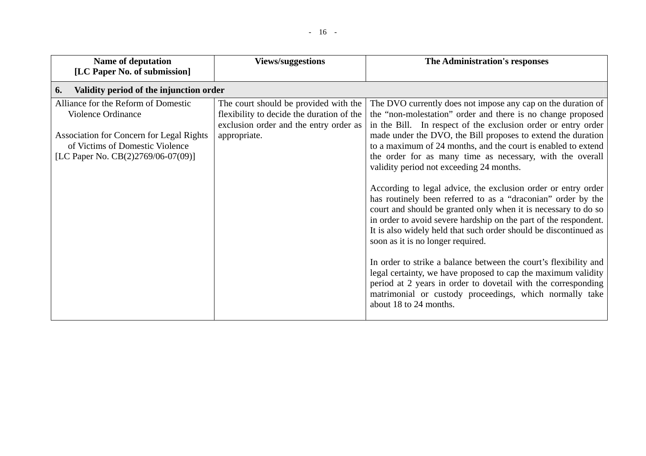| <b>Name of deputation</b><br>[LC Paper No. of submission]                                                                                                                      | <b>Views/suggestions</b>                                                                                                                     | The Administration's responses                                                                                                                                                                                                                                                                                                                                                                                                                                                                                                                                                                                                                                                                                                                                                                                                                                                                                                                                                                                                                                                                                    |
|--------------------------------------------------------------------------------------------------------------------------------------------------------------------------------|----------------------------------------------------------------------------------------------------------------------------------------------|-------------------------------------------------------------------------------------------------------------------------------------------------------------------------------------------------------------------------------------------------------------------------------------------------------------------------------------------------------------------------------------------------------------------------------------------------------------------------------------------------------------------------------------------------------------------------------------------------------------------------------------------------------------------------------------------------------------------------------------------------------------------------------------------------------------------------------------------------------------------------------------------------------------------------------------------------------------------------------------------------------------------------------------------------------------------------------------------------------------------|
| Validity period of the injunction order<br>6.                                                                                                                                  |                                                                                                                                              |                                                                                                                                                                                                                                                                                                                                                                                                                                                                                                                                                                                                                                                                                                                                                                                                                                                                                                                                                                                                                                                                                                                   |
| Alliance for the Reform of Domestic<br>Violence Ordinance<br>Association for Concern for Legal Rights<br>of Victims of Domestic Violence<br>[LC Paper No. CB(2)2769/06-07(09)] | The court should be provided with the<br>flexibility to decide the duration of the<br>exclusion order and the entry order as<br>appropriate. | The DVO currently does not impose any cap on the duration of<br>the "non-molestation" order and there is no change proposed<br>in the Bill. In respect of the exclusion order or entry order<br>made under the DVO, the Bill proposes to extend the duration<br>to a maximum of 24 months, and the court is enabled to extend<br>the order for as many time as necessary, with the overall<br>validity period not exceeding 24 months.<br>According to legal advice, the exclusion order or entry order<br>has routinely been referred to as a "draconian" order by the<br>court and should be granted only when it is necessary to do so<br>in order to avoid severe hardship on the part of the respondent.<br>It is also widely held that such order should be discontinued as<br>soon as it is no longer required.<br>In order to strike a balance between the court's flexibility and<br>legal certainty, we have proposed to cap the maximum validity<br>period at 2 years in order to dovetail with the corresponding<br>matrimonial or custody proceedings, which normally take<br>about 18 to 24 months. |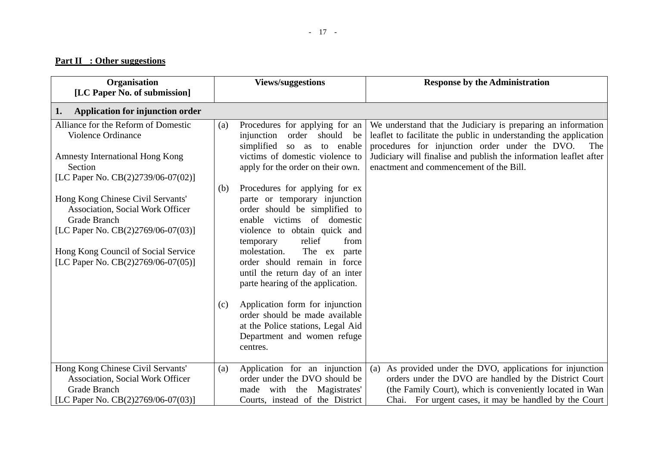#### - 17 -

### **Part II : Other suggestions**

| Organisation<br>[LC Paper No. of submission]                                                                                                                                                                       | <b>Views/suggestions</b>                                                                                                                                                                                                                                                                                                                                                                                                                                                                                  | <b>Response by the Administration</b>                                                                                                                                                                                                                                                                      |
|--------------------------------------------------------------------------------------------------------------------------------------------------------------------------------------------------------------------|-----------------------------------------------------------------------------------------------------------------------------------------------------------------------------------------------------------------------------------------------------------------------------------------------------------------------------------------------------------------------------------------------------------------------------------------------------------------------------------------------------------|------------------------------------------------------------------------------------------------------------------------------------------------------------------------------------------------------------------------------------------------------------------------------------------------------------|
| Application for injunction order<br>1.                                                                                                                                                                             |                                                                                                                                                                                                                                                                                                                                                                                                                                                                                                           |                                                                                                                                                                                                                                                                                                            |
| Alliance for the Reform of Domestic<br>Violence Ordinance<br><b>Amnesty International Hong Kong</b><br>Section<br>[LC Paper No. CB(2)2739/06-07(02)]                                                               | Procedures for applying for an<br>(a)<br>injunction<br>order should be<br>simplified<br>to enable<br>so as<br>victims of domestic violence to<br>apply for the order on their own.                                                                                                                                                                                                                                                                                                                        | We understand that the Judiciary is preparing an information<br>leaflet to facilitate the public in understanding the application<br>procedures for injunction order under the DVO.<br>The<br>Judiciary will finalise and publish the information leaflet after<br>enactment and commencement of the Bill. |
| Hong Kong Chinese Civil Servants'<br><b>Association, Social Work Officer</b><br>Grade Branch<br>[LC Paper No. CB(2)2769/06-07(03)]<br>Hong Kong Council of Social Service<br>[LC Paper No. $CB(2)2769/06-07(05)$ ] | Procedures for applying for ex<br>(b)<br>parte or temporary injunction<br>order should be simplified to<br>enable victims of domestic<br>violence to obtain quick and<br>relief<br>from<br>temporary<br>molestation.<br>The ex parte<br>order should remain in force<br>until the return day of an inter<br>parte hearing of the application.<br>Application form for injunction<br>(c)<br>order should be made available<br>at the Police stations, Legal Aid<br>Department and women refuge<br>centres. |                                                                                                                                                                                                                                                                                                            |
| Hong Kong Chinese Civil Servants'<br><b>Association, Social Work Officer</b><br>Grade Branch<br>[LC Paper No. CB(2)2769/06-07(03)]                                                                                 | Application for an injunction<br>(a)<br>order under the DVO should be<br>made with the Magistrates'<br>Courts, instead of the District                                                                                                                                                                                                                                                                                                                                                                    | As provided under the DVO, applications for injunction<br>(a)<br>orders under the DVO are handled by the District Court<br>(the Family Court), which is conveniently located in Wan<br>Chai. For urgent cases, it may be handled by the Court                                                              |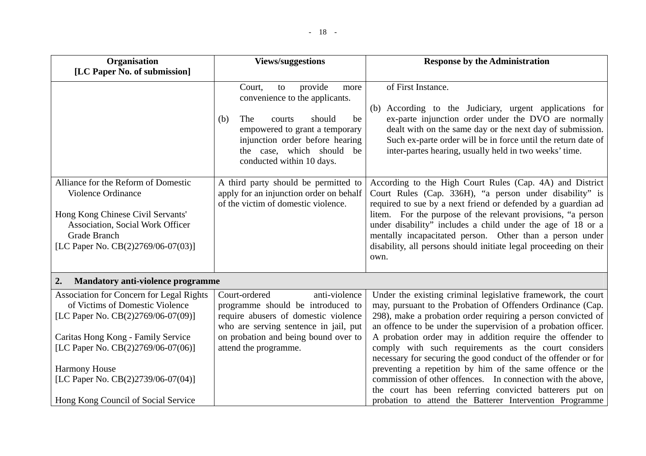| Organisation                                                                                                                                                                                                                                                                                              | <b>Views/suggestions</b>                                                                                                                                                                                                                    | <b>Response by the Administration</b>                                                                                                                                                                                                                                                                                                                                                                                                                                                                                                                                                                                                                                                                  |
|-----------------------------------------------------------------------------------------------------------------------------------------------------------------------------------------------------------------------------------------------------------------------------------------------------------|---------------------------------------------------------------------------------------------------------------------------------------------------------------------------------------------------------------------------------------------|--------------------------------------------------------------------------------------------------------------------------------------------------------------------------------------------------------------------------------------------------------------------------------------------------------------------------------------------------------------------------------------------------------------------------------------------------------------------------------------------------------------------------------------------------------------------------------------------------------------------------------------------------------------------------------------------------------|
| [LC Paper No. of submission]                                                                                                                                                                                                                                                                              |                                                                                                                                                                                                                                             |                                                                                                                                                                                                                                                                                                                                                                                                                                                                                                                                                                                                                                                                                                        |
|                                                                                                                                                                                                                                                                                                           | provide<br>Court,<br>to<br>more<br>convenience to the applicants.<br>be<br>(b)<br>The<br>should<br>courts<br>empowered to grant a temporary<br>injunction order before hearing<br>the case, which should<br>be<br>conducted within 10 days. | of First Instance.<br>According to the Judiciary, urgent applications for<br>(b)<br>ex-parte injunction order under the DVO are normally<br>dealt with on the same day or the next day of submission.<br>Such ex-parte order will be in force until the return date of<br>inter-partes hearing, usually held in two weeks' time.                                                                                                                                                                                                                                                                                                                                                                       |
| Alliance for the Reform of Domestic<br>Violence Ordinance<br>Hong Kong Chinese Civil Servants'<br><b>Association, Social Work Officer</b><br>Grade Branch<br>[LC Paper No. CB(2)2769/06-07(03)]                                                                                                           | A third party should be permitted to<br>apply for an injunction order on behalf<br>of the victim of domestic violence.                                                                                                                      | According to the High Court Rules (Cap. 4A) and District<br>Court Rules (Cap. 336H), "a person under disability" is<br>required to sue by a next friend or defended by a guardian ad<br>litem. For the purpose of the relevant provisions, "a person<br>under disability" includes a child under the age of 18 or a<br>mentally incapacitated person. Other than a person under<br>disability, all persons should initiate legal proceeding on their<br>own.                                                                                                                                                                                                                                           |
| 2.<br><b>Mandatory anti-violence programme</b>                                                                                                                                                                                                                                                            |                                                                                                                                                                                                                                             |                                                                                                                                                                                                                                                                                                                                                                                                                                                                                                                                                                                                                                                                                                        |
| <b>Association for Concern for Legal Rights</b><br>of Victims of Domestic Violence<br>[LC Paper No. CB(2)2769/06-07(09)]<br>Caritas Hong Kong - Family Service<br>[LC Paper No. CB(2)2769/06-07(06)]<br><b>Harmony House</b><br>[LC Paper No. CB(2)2739/06-07(04)]<br>Hong Kong Council of Social Service | Court-ordered<br>anti-violence<br>programme should be introduced to<br>require abusers of domestic violence<br>who are serving sentence in jail, put<br>on probation and being bound over to<br>attend the programme.                       | Under the existing criminal legislative framework, the court<br>may, pursuant to the Probation of Offenders Ordinance (Cap.<br>298), make a probation order requiring a person convicted of<br>an offence to be under the supervision of a probation officer.<br>A probation order may in addition require the offender to<br>comply with such requirements as the court considers<br>necessary for securing the good conduct of the offender or for<br>preventing a repetition by him of the same offence or the<br>commission of other offences. In connection with the above,<br>the court has been referring convicted batterers put on<br>probation to attend the Batterer Intervention Programme |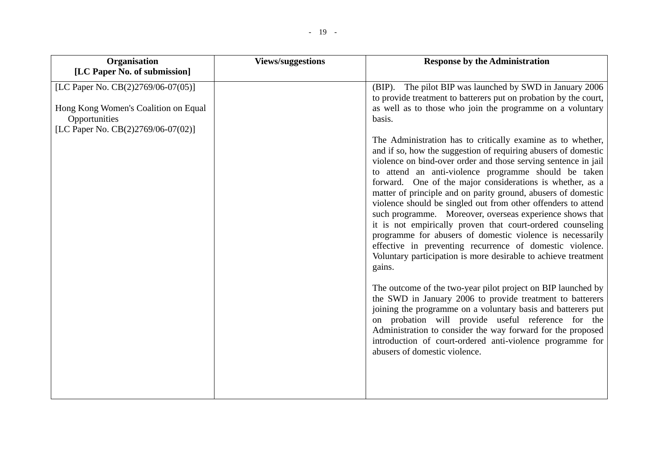| Organisation<br>[LC Paper No. of submission]                                                | <b>Views/suggestions</b> | <b>Response by the Administration</b>                                                                                                                                                                                                                                                                                                                                                                                                                                                                                                                                                                                                                                                                                                                                                 |
|---------------------------------------------------------------------------------------------|--------------------------|---------------------------------------------------------------------------------------------------------------------------------------------------------------------------------------------------------------------------------------------------------------------------------------------------------------------------------------------------------------------------------------------------------------------------------------------------------------------------------------------------------------------------------------------------------------------------------------------------------------------------------------------------------------------------------------------------------------------------------------------------------------------------------------|
| [LC Paper No. CB(2)2769/06-07(05)]<br>Hong Kong Women's Coalition on Equal<br>Opportunities |                          | (BIP). The pilot BIP was launched by SWD in January 2006<br>to provide treatment to batterers put on probation by the court,<br>as well as to those who join the programme on a voluntary<br>basis.                                                                                                                                                                                                                                                                                                                                                                                                                                                                                                                                                                                   |
| [LC Paper No. CB(2)2769/06-07(02)]                                                          |                          | The Administration has to critically examine as to whether,<br>and if so, how the suggestion of requiring abusers of domestic<br>violence on bind-over order and those serving sentence in jail<br>to attend an anti-violence programme should be taken<br>forward. One of the major considerations is whether, as a<br>matter of principle and on parity ground, abusers of domestic<br>violence should be singled out from other offenders to attend<br>such programme. Moreover, overseas experience shows that<br>it is not empirically proven that court-ordered counseling<br>programme for abusers of domestic violence is necessarily<br>effective in preventing recurrence of domestic violence.<br>Voluntary participation is more desirable to achieve treatment<br>gains. |
|                                                                                             |                          | The outcome of the two-year pilot project on BIP launched by<br>the SWD in January 2006 to provide treatment to batterers<br>joining the programme on a voluntary basis and batterers put<br>on probation will provide useful reference for the<br>Administration to consider the way forward for the proposed<br>introduction of court-ordered anti-violence programme for<br>abusers of domestic violence.                                                                                                                                                                                                                                                                                                                                                                          |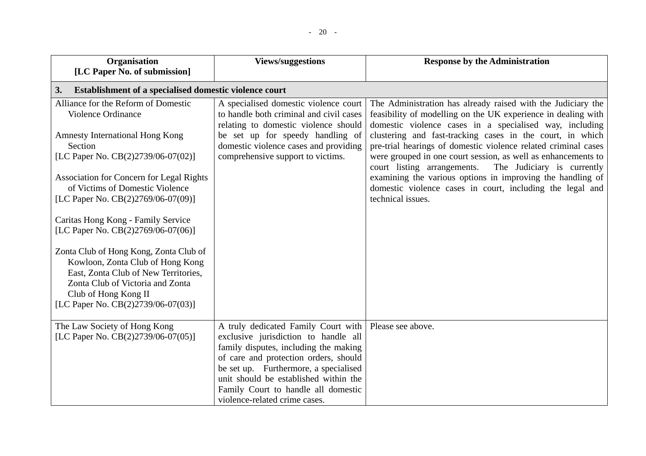| Organisation                                                                                                                                                                                                         | <b>Views/suggestions</b>                                                                                                                                                                                                                                                                                                | <b>Response by the Administration</b>                                                                                                                                                                     |
|----------------------------------------------------------------------------------------------------------------------------------------------------------------------------------------------------------------------|-------------------------------------------------------------------------------------------------------------------------------------------------------------------------------------------------------------------------------------------------------------------------------------------------------------------------|-----------------------------------------------------------------------------------------------------------------------------------------------------------------------------------------------------------|
| [LC Paper No. of submission]                                                                                                                                                                                         |                                                                                                                                                                                                                                                                                                                         |                                                                                                                                                                                                           |
| Establishment of a specialised domestic violence court<br>3.                                                                                                                                                         |                                                                                                                                                                                                                                                                                                                         |                                                                                                                                                                                                           |
| Alliance for the Reform of Domestic<br>Violence Ordinance                                                                                                                                                            | A specialised domestic violence court<br>to handle both criminal and civil cases<br>relating to domestic violence should                                                                                                                                                                                                | The Administration has already raised with the Judiciary the<br>feasibility of modelling on the UK experience in dealing with<br>domestic violence cases in a specialised way, including                  |
| <b>Amnesty International Hong Kong</b><br>Section<br>[LC Paper No. CB(2)2739/06-07(02)]                                                                                                                              | be set up for speedy handling of<br>domestic violence cases and providing<br>comprehensive support to victims.                                                                                                                                                                                                          | clustering and fast-tracking cases in the court, in which<br>pre-trial hearings of domestic violence related criminal cases<br>were grouped in one court session, as well as enhancements to              |
| Association for Concern for Legal Rights<br>of Victims of Domestic Violence<br>[LC Paper No. CB(2)2769/06-07(09)]<br>Caritas Hong Kong - Family Service<br>[LC Paper No. CB(2)2769/06-07(06)]                        |                                                                                                                                                                                                                                                                                                                         | court listing arrangements.<br>The Judiciary is currently<br>examining the various options in improving the handling of<br>domestic violence cases in court, including the legal and<br>technical issues. |
| Zonta Club of Hong Kong, Zonta Club of<br>Kowloon, Zonta Club of Hong Kong<br>East, Zonta Club of New Territories,<br>Zonta Club of Victoria and Zonta<br>Club of Hong Kong II<br>[LC Paper No. CB(2)2739/06-07(03)] |                                                                                                                                                                                                                                                                                                                         |                                                                                                                                                                                                           |
| The Law Society of Hong Kong<br>[LC Paper No. CB(2)2739/06-07(05)]                                                                                                                                                   | A truly dedicated Family Court with<br>exclusive jurisdiction to handle all<br>family disputes, including the making<br>of care and protection orders, should<br>be set up. Furthermore, a specialised<br>unit should be established within the<br>Family Court to handle all domestic<br>violence-related crime cases. | Please see above.                                                                                                                                                                                         |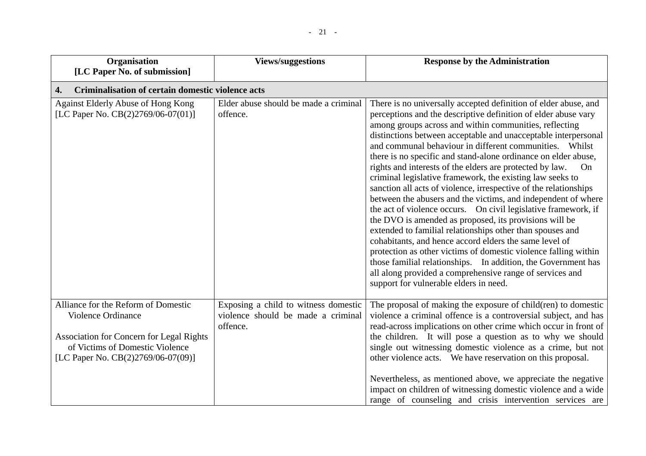| Organisation                                                                                                                                                                                 | <b>Views/suggestions</b>                                                               | <b>Response by the Administration</b>                                                                                                                                                                                                                                                                                                                                                                                                                                                                                                                                                                                                                                                                                                                                                                                                                                                                                                                                                                                                                                                                                                                       |
|----------------------------------------------------------------------------------------------------------------------------------------------------------------------------------------------|----------------------------------------------------------------------------------------|-------------------------------------------------------------------------------------------------------------------------------------------------------------------------------------------------------------------------------------------------------------------------------------------------------------------------------------------------------------------------------------------------------------------------------------------------------------------------------------------------------------------------------------------------------------------------------------------------------------------------------------------------------------------------------------------------------------------------------------------------------------------------------------------------------------------------------------------------------------------------------------------------------------------------------------------------------------------------------------------------------------------------------------------------------------------------------------------------------------------------------------------------------------|
| [LC Paper No. of submission]                                                                                                                                                                 |                                                                                        |                                                                                                                                                                                                                                                                                                                                                                                                                                                                                                                                                                                                                                                                                                                                                                                                                                                                                                                                                                                                                                                                                                                                                             |
| Criminalisation of certain domestic violence acts<br>4.                                                                                                                                      |                                                                                        |                                                                                                                                                                                                                                                                                                                                                                                                                                                                                                                                                                                                                                                                                                                                                                                                                                                                                                                                                                                                                                                                                                                                                             |
| Against Elderly Abuse of Hong Kong<br>[LC Paper No. CB(2)2769/06-07(01)]                                                                                                                     | Elder abuse should be made a criminal<br>offence.                                      | There is no universally accepted definition of elder abuse, and<br>perceptions and the descriptive definition of elder abuse vary<br>among groups across and within communities, reflecting<br>distinctions between acceptable and unacceptable interpersonal<br>and communal behaviour in different communities. Whilst<br>there is no specific and stand-alone ordinance on elder abuse,<br>rights and interests of the elders are protected by law.<br>On<br>criminal legislative framework, the existing law seeks to<br>sanction all acts of violence, irrespective of the relationships<br>between the abusers and the victims, and independent of where<br>the act of violence occurs. On civil legislative framework, if<br>the DVO is amended as proposed, its provisions will be<br>extended to familial relationships other than spouses and<br>cohabitants, and hence accord elders the same level of<br>protection as other victims of domestic violence falling within<br>those familial relationships. In addition, the Government has<br>all along provided a comprehensive range of services and<br>support for vulnerable elders in need. |
| Alliance for the Reform of Domestic<br><b>Violence Ordinance</b><br><b>Association for Concern for Legal Rights</b><br>of Victims of Domestic Violence<br>[LC Paper No. CB(2)2769/06-07(09)] | Exposing a child to witness domestic<br>violence should be made a criminal<br>offence. | The proposal of making the exposure of child(ren) to domestic<br>violence a criminal offence is a controversial subject, and has<br>read-across implications on other crime which occur in front of<br>the children. It will pose a question as to why we should<br>single out witnessing domestic violence as a crime, but not<br>other violence acts. We have reservation on this proposal.<br>Nevertheless, as mentioned above, we appreciate the negative<br>impact on children of witnessing domestic violence and a wide<br>range of counseling and crisis intervention services are                                                                                                                                                                                                                                                                                                                                                                                                                                                                                                                                                                  |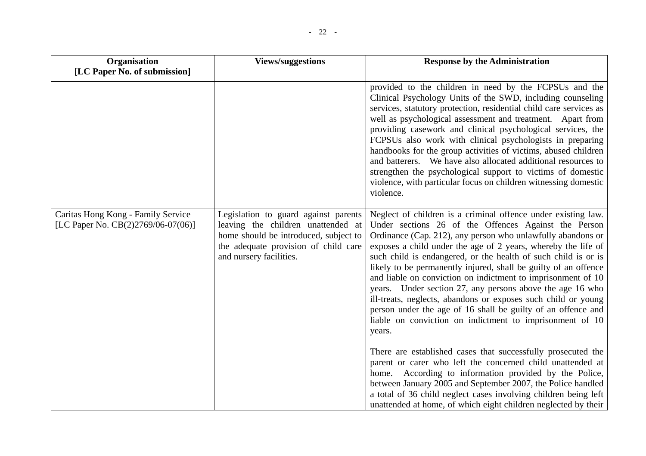| Organisation<br>[LC Paper No. of submission]                             | <b>Views/suggestions</b>                                                                                                                                                               | <b>Response by the Administration</b>                                                                                                                                                                                                                                                                                                                                                                                                                                                                                                                                                                                                                                                                                                                                                                                                                                                                                                                                                                                                                    |
|--------------------------------------------------------------------------|----------------------------------------------------------------------------------------------------------------------------------------------------------------------------------------|----------------------------------------------------------------------------------------------------------------------------------------------------------------------------------------------------------------------------------------------------------------------------------------------------------------------------------------------------------------------------------------------------------------------------------------------------------------------------------------------------------------------------------------------------------------------------------------------------------------------------------------------------------------------------------------------------------------------------------------------------------------------------------------------------------------------------------------------------------------------------------------------------------------------------------------------------------------------------------------------------------------------------------------------------------|
|                                                                          |                                                                                                                                                                                        | provided to the children in need by the FCPSUs and the<br>Clinical Psychology Units of the SWD, including counseling<br>services, statutory protection, residential child care services as<br>well as psychological assessment and treatment. Apart from<br>providing casework and clinical psychological services, the<br>FCPSUs also work with clinical psychologists in preparing<br>handbooks for the group activities of victims, abused children<br>and batterers. We have also allocated additional resources to<br>strengthen the psychological support to victims of domestic<br>violence, with particular focus on children witnessing domestic<br>violence.                                                                                                                                                                                                                                                                                                                                                                                   |
| Caritas Hong Kong - Family Service<br>[LC Paper No. CB(2)2769/06-07(06)] | Legislation to guard against parents<br>leaving the children unattended at<br>home should be introduced, subject to<br>the adequate provision of child care<br>and nursery facilities. | Neglect of children is a criminal offence under existing law.<br>Under sections 26 of the Offences Against the Person<br>Ordinance (Cap. 212), any person who unlawfully abandons or<br>exposes a child under the age of 2 years, whereby the life of<br>such child is endangered, or the health of such child is or is<br>likely to be permanently injured, shall be guilty of an offence<br>and liable on conviction on indictment to imprisonment of 10<br>years. Under section 27, any persons above the age 16 who<br>ill-treats, neglects, abandons or exposes such child or young<br>person under the age of 16 shall be guilty of an offence and<br>liable on conviction on indictment to imprisonment of 10<br>years.<br>There are established cases that successfully prosecuted the<br>parent or carer who left the concerned child unattended at<br>home. According to information provided by the Police,<br>between January 2005 and September 2007, the Police handled<br>a total of 36 child neglect cases involving children being left |